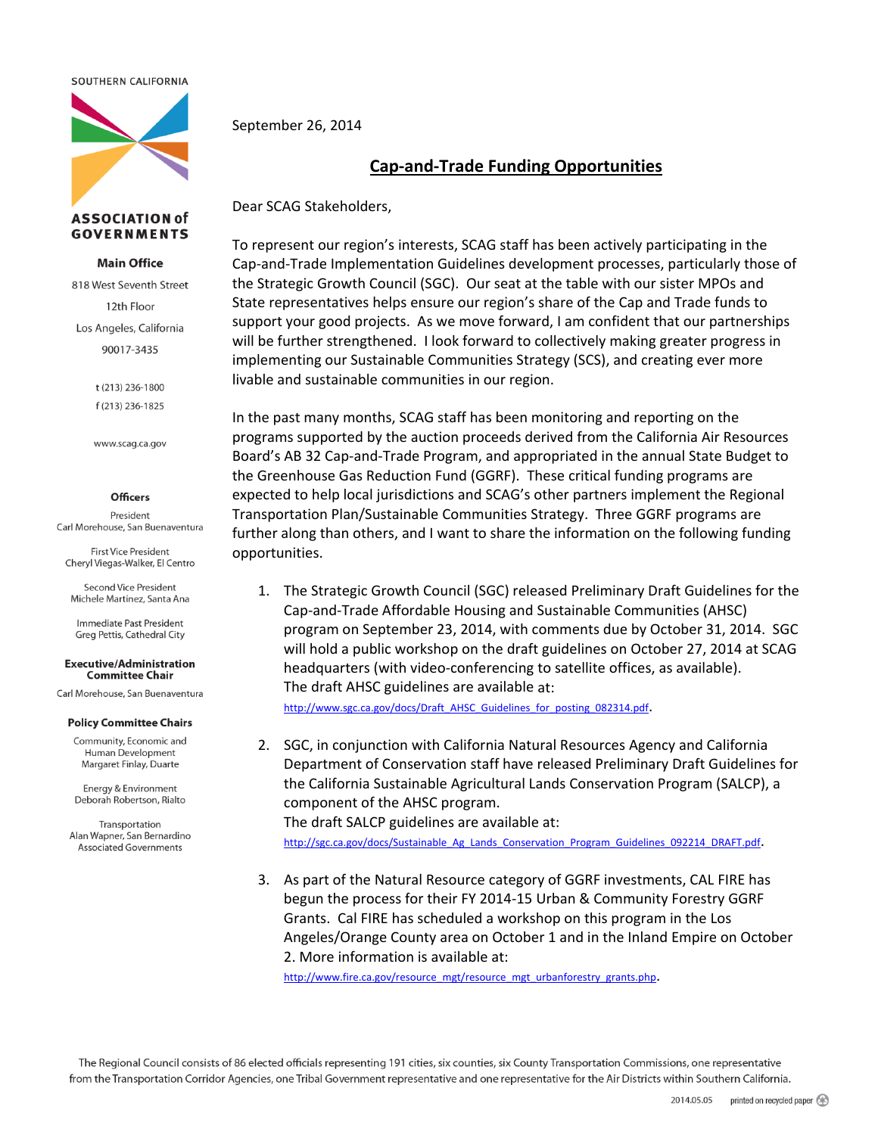#### SOUTHERN CALIFORNIA



## **ASSOCIATION of GOVERNMENTS**

## **Main Office**

818 West Seventh Street 12th Floor Los Angeles, California 90017-3435

> t (213) 236-1800 f (213) 236-1825

www.scag.ca.gov

#### **Officers**

President Carl Morehouse, San Buenaventura

**First Vice President** Cheryl Viegas-Walker, El Centro

**Second Vice President** Michele Martinez, Santa Ana

Immediate Past President Greg Pettis, Cathedral City

#### **Executive/Administration Committee Chair**

Carl Morehouse. San Buenaventura

## **Policy Committee Chairs**

Community, Economic and Human Development Margaret Finlay, Duarte

Energy & Environment Deborah Robertson, Rialto

Transportation Alan Wapner, San Bernardino **Associated Governments** 

September 26, 2014

# **Cap‐and‐Trade Funding Opportunities**

Dear SCAG Stakeholders,

To represent our region's interests, SCAG staff has been actively participating in the Cap‐and‐Trade Implementation Guidelines development processes, particularly those of the Strategic Growth Council (SGC). Our seat at the table with our sister MPOs and State representatives helps ensure our region's share of the Cap and Trade funds to support your good projects. As we move forward, I am confident that our partnerships will be further strengthened. I look forward to collectively making greater progress in implementing our Sustainable Communities Strategy (SCS), and creating ever more livable and sustainable communities in our region.

In the past many months, SCAG staff has been monitoring and reporting on the programs supported by the auction proceeds derived from the California Air Resources Board's AB 32 Cap‐and‐Trade Program, and appropriated in the annual State Budget to the Greenhouse Gas Reduction Fund (GGRF). These critical funding programs are expected to help local jurisdictions and SCAG's other partners implement the Regional Transportation Plan/Sustainable Communities Strategy. Three GGRF programs are further along than others, and I want to share the information on the following funding opportunities.

1. The Strategic Growth Council (SGC) released Preliminary Draft Guidelines for the Cap‐and‐Trade Affordable Housing and Sustainable Communities (AHSC) program on September 23, 2014, with comments due by October 31, 2014. SGC will hold a public workshop on the draft guidelines on October 27, 2014 at SCAG headquarters (with video‐conferencing to satellite offices, as available). The draft AHSC guidelines are available at:

http://www.sgc.ca.gov/docs/Draft\_AHSC\_Guidelines\_for\_posting\_082314.pdf.

2. SGC, in conjunction with California Natural Resources Agency and California Department of Conservation staff have released Preliminary Draft Guidelines for the California Sustainable Agricultural Lands Conservation Program (SALCP), a component of the AHSC program.

The draft SALCP guidelines are available at:

http://sgc.ca.gov/docs/Sustainable Ag\_Lands\_Conservation\_Program\_Guidelines\_092214\_DRAFT.pdf.

3. As part of the Natural Resource category of GGRF investments, CAL FIRE has begun the process for their FY 2014‐15 Urban & Community Forestry GGRF Grants. Cal FIRE has scheduled a workshop on this program in the Los Angeles/Orange County area on October 1 and in the Inland Empire on October 2. More information is available at:

http://www.fire.ca.gov/resource\_mgt/resource\_mgt\_urbanforestry\_grants.php.

The Regional Council consists of 86 elected officials representing 191 cities, six counties, six County Transportation Commissions, one representative from the Transportation Corridor Agencies, one Tribal Government representative and one representative for the Air Districts within Southern California.